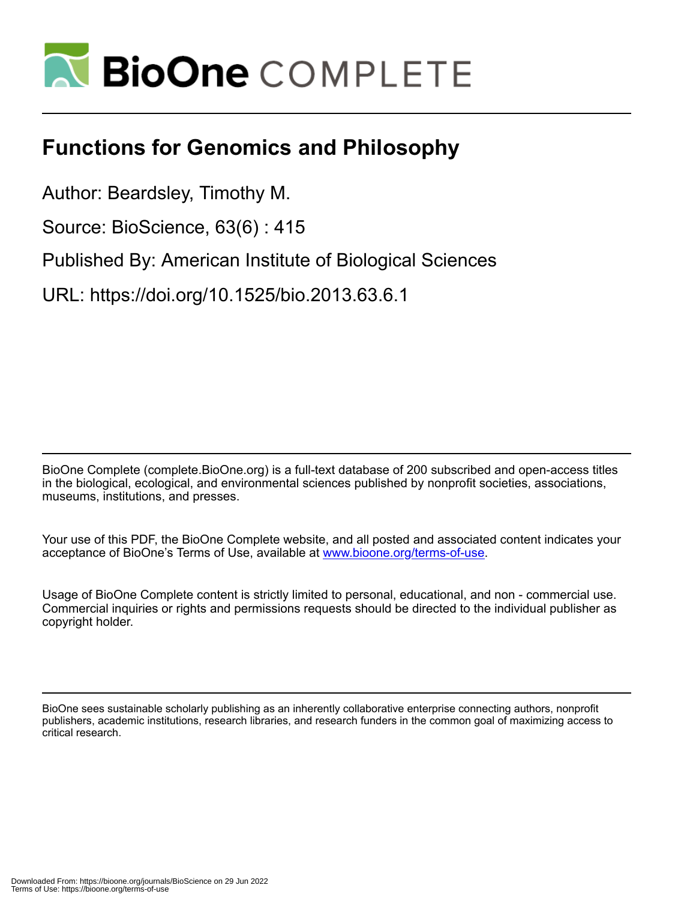

## **Functions for Genomics and Philosophy**

Author: Beardsley, Timothy M.

Source: BioScience, 63(6) : 415

Published By: American Institute of Biological Sciences

URL: https://doi.org/10.1525/bio.2013.63.6.1

BioOne Complete (complete.BioOne.org) is a full-text database of 200 subscribed and open-access titles in the biological, ecological, and environmental sciences published by nonprofit societies, associations, museums, institutions, and presses.

Your use of this PDF, the BioOne Complete website, and all posted and associated content indicates your acceptance of BioOne's Terms of Use, available at www.bioone.org/terms-of-use.

Usage of BioOne Complete content is strictly limited to personal, educational, and non - commercial use. Commercial inquiries or rights and permissions requests should be directed to the individual publisher as copyright holder.

BioOne sees sustainable scholarly publishing as an inherently collaborative enterprise connecting authors, nonprofit publishers, academic institutions, research libraries, and research funders in the common goal of maximizing access to critical research.